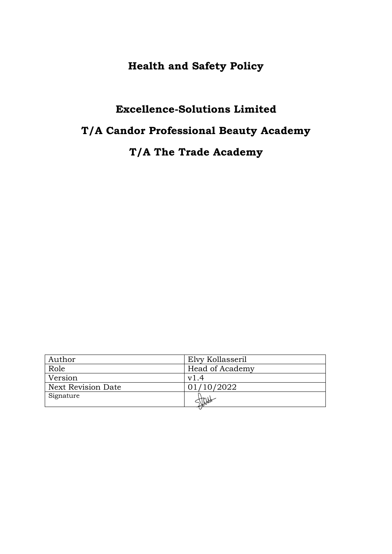# **Health and Safety Policy**

# **Excellence-Solutions Limited**

# **T/A Candor Professional Beauty Academy**

# **T/A The Trade Academy**

| Author                    | Elvy Kollasseril |
|---------------------------|------------------|
| Role                      | Head of Academy  |
| Version                   | v1.4             |
| <b>Next Revision Date</b> | 01/10/2022       |
| Signature                 |                  |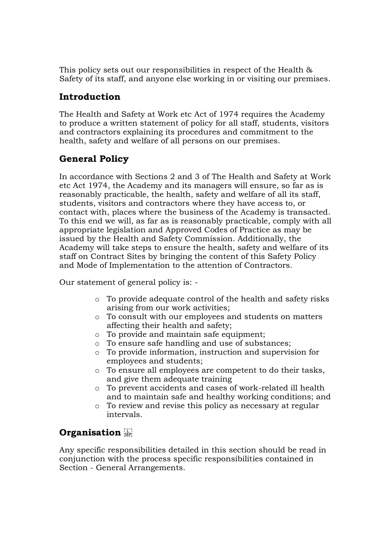This policy sets out our responsibilities in respect of the Health & Safety of its staff, and anyone else working in or visiting our premises.

## **Introduction**

The Health and Safety at Work etc Act of 1974 requires the Academy to produce a written statement of policy for all staff, students, visitors and contractors explaining its procedures and commitment to the health, safety and welfare of all persons on our premises.

# **General Policy**

In accordance with Sections 2 and 3 of The Health and Safety at Work etc Act 1974, the Academy and its managers will ensure, so far as is reasonably practicable, the health, safety and welfare of all its staff, students, visitors and contractors where they have access to, or contact with, places where the business of the Academy is transacted. To this end we will, as far as is reasonably practicable, comply with all appropriate legislation and Approved Codes of Practice as may be issued by the Health and Safety Commission. Additionally, the Academy will take steps to ensure the health, safety and welfare of its staff on Contract Sites by bringing the content of this Safety Policy and Mode of Implementation to the attention of Contractors.

Our statement of general policy is: -

- o To provide adequate control of the health and safety risks arising from our work activities;
- o To consult with our employees and students on matters affecting their health and safety;
- o To provide and maintain safe equipment;
- o To ensure safe handling and use of substances;
- o To provide information, instruction and supervision for employees and students;
- o To ensure all employees are competent to do their tasks, and give them adequate training
- o To prevent accidents and cases of work-related ill health and to maintain safe and healthy working conditions; and
- o To review and revise this policy as necessary at regular intervals.

# **Organisation**

Any specific responsibilities detailed in this section should be read in conjunction with the process specific responsibilities contained in Section - General Arrangements.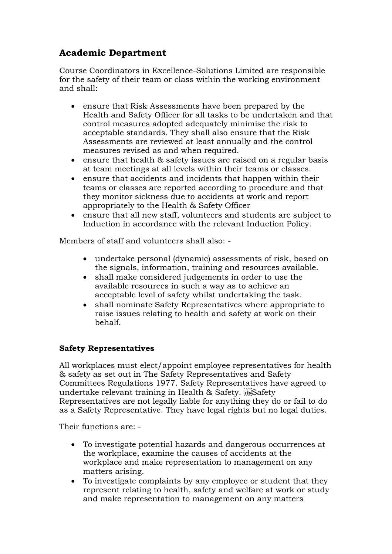## **Academic Department**

Course Coordinators in Excellence-Solutions Limited are responsible for the safety of their team or class within the working environment and shall:

- ensure that Risk Assessments have been prepared by the Health and Safety Officer for all tasks to be undertaken and that control measures adopted adequately minimise the risk to acceptable standards. They shall also ensure that the Risk Assessments are reviewed at least annually and the control measures revised as and when required.
- ensure that health & safety issues are raised on a regular basis at team meetings at all levels within their teams or classes.
- ensure that accidents and incidents that happen within their teams or classes are reported according to procedure and that they monitor sickness due to accidents at work and report appropriately to the Health & Safety Officer
- ensure that all new staff, volunteers and students are subject to Induction in accordance with the relevant Induction Policy.

Members of staff and volunteers shall also: -

- undertake personal (dynamic) assessments of risk, based on the signals, information, training and resources available.
- shall make considered judgements in order to use the available resources in such a way as to achieve an acceptable level of safety whilst undertaking the task.
- shall nominate Safety Representatives where appropriate to raise issues relating to health and safety at work on their behalf.

## **Safety Representatives**

All workplaces must elect/appoint employee representatives for health & safety as set out in The Safety Representatives and Safety Committees Regulations 1977. Safety Representatives have agreed to undertake relevant training in Health & Safety. Safety Representatives are not legally liable for anything they do or fail to do as a Safety Representative. They have legal rights but no legal duties.

Their functions are: -

- To investigate potential hazards and dangerous occurrences at the workplace, examine the causes of accidents at the workplace and make representation to management on any matters arising.
- To investigate complaints by any employee or student that they represent relating to health, safety and welfare at work or study and make representation to management on any matters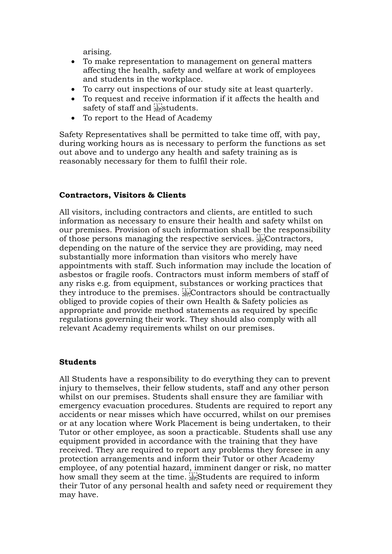arising.

- To make representation to management on general matters affecting the health, safety and welfare at work of employees and students in the workplace.
- To carry out inspections of our study site at least quarterly.
- To request and receive information if it affects the health and safety of staff and stepstudents.
- To report to the Head of Academy

Safety Representatives shall be permitted to take time off, with pay, during working hours as is necessary to perform the functions as set out above and to undergo any health and safety training as is reasonably necessary for them to fulfil their role.

### **Contractors, Visitors & Clients**

All visitors, including contractors and clients, are entitled to such information as necessary to ensure their health and safety whilst on our premises. Provision of such information shall be the responsibility of those persons managing the respective services. **SEP**Contractors, depending on the nature of the service they are providing, may need substantially more information than visitors who merely have appointments with staff. Such information may include the location of asbestos or fragile roofs. Contractors must inform members of staff of any risks e.g. from equipment, substances or working practices that they introduce to the premises. Contractors should be contractually obliged to provide copies of their own Health & Safety policies as appropriate and provide method statements as required by specific regulations governing their work. They should also comply with all relevant Academy requirements whilst on our premises.

#### **Students**

All Students have a responsibility to do everything they can to prevent injury to themselves, their fellow students, staff and any other person whilst on our premises. Students shall ensure they are familiar with emergency evacuation procedures. Students are required to report any accidents or near misses which have occurred, whilst on our premises or at any location where Work Placement is being undertaken, to their Tutor or other employee, as soon a practicable. Students shall use any equipment provided in accordance with the training that they have received. They are required to report any problems they foresee in any protection arrangements and inform their Tutor or other Academy employee, of any potential hazard, imminent danger or risk, no matter how small they seem at the time. **SEP**Students are required to inform their Tutor of any personal health and safety need or requirement they may have.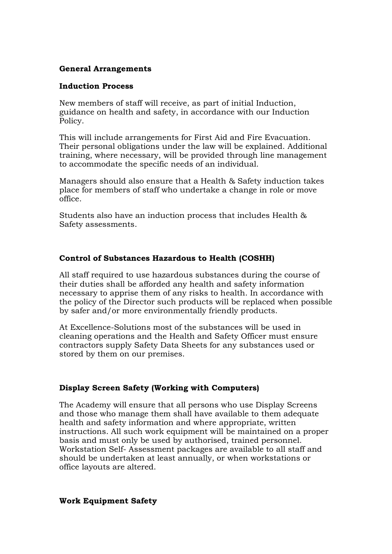#### **General Arrangements**

#### **Induction Process**

New members of staff will receive, as part of initial Induction, guidance on health and safety, in accordance with our Induction Policy.

This will include arrangements for First Aid and Fire Evacuation. Their personal obligations under the law will be explained. Additional training, where necessary, will be provided through line management to accommodate the specific needs of an individual.

Managers should also ensure that a Health & Safety induction takes place for members of staff who undertake a change in role or move office.

Students also have an induction process that includes Health & Safety assessments.

#### **Control of Substances Hazardous to Health (COSHH)**

All staff required to use hazardous substances during the course of their duties shall be afforded any health and safety information necessary to apprise them of any risks to health. In accordance with the policy of the Director such products will be replaced when possible by safer and/or more environmentally friendly products.

At Excellence-Solutions most of the substances will be used in cleaning operations and the Health and Safety Officer must ensure contractors supply Safety Data Sheets for any substances used or stored by them on our premises.

#### **Display Screen Safety (Working with Computers)**

The Academy will ensure that all persons who use Display Screens and those who manage them shall have available to them adequate health and safety information and where appropriate, written instructions. All such work equipment will be maintained on a proper basis and must only be used by authorised, trained personnel. Workstation Self- Assessment packages are available to all staff and should be undertaken at least annually, or when workstations or office layouts are altered.

#### **Work Equipment Safety**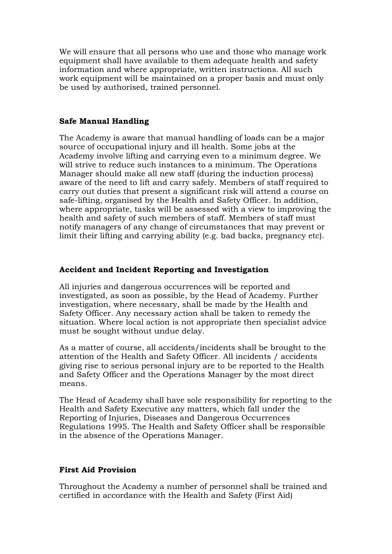We will ensure that all persons who use and those who manage work equipment shall have available to them adequate health and safety information and where appropriate, written instructions. All such work equipment will be maintained on a proper basis and must only be used by authorised, trained personnel.

#### **Safe Manual Handling**

The Academy is aware that manual handling of loads can be a major source of occupational injury and ill health. Some jobs at the Academy involve lifting and carrying even to a minimum degree. We will strive to reduce such instances to a minimum. The Operations Manager should make all new staff (during the induction process) aware of the need to lift and carry safely. Members of staff required to carry out duties that present a significant risk will attend a course on safe-lifting, organised by the Health and Safety Officer. In addition, where appropriate, tasks will be assessed with a view to improving the health and safety of such members of staff. Members of staff must notify managers of any change of circumstances that may prevent or limit their lifting and carrying ability (e.g. bad backs, pregnancy etc).

#### **Accident and Incident Reporting and Investigation**

All injuries and dangerous occurrences will be reported and investigated, as soon as possible, by the Head of Academy. Further investigation, where necessary, shall be made by the Health and Safety Officer. Any necessary action shall be taken to remedy the situation. Where local action is not appropriate then specialist advice must be sought without undue delay.

As a matter of course, all accidents/incidents shall be brought to the attention of the Health and Safety Officer. All incidents / accidents giving rise to serious personal injury are to be reported to the Health and Safety Officer and the Operations Manager by the most direct means.

The Head of Academy shall have sole responsibility for reporting to the Health and Safety Executive any matters, which fall under the Reporting of Injuries, Diseases and Dangerous Occurrences Regulations 1995. The Health and Safety Officer shall be responsible in the absence of the Operations Manager.

#### **First Aid Provision**

Throughout the Academy a number of personnel shall be trained and certified in accordance with the Health and Safety (First Aid)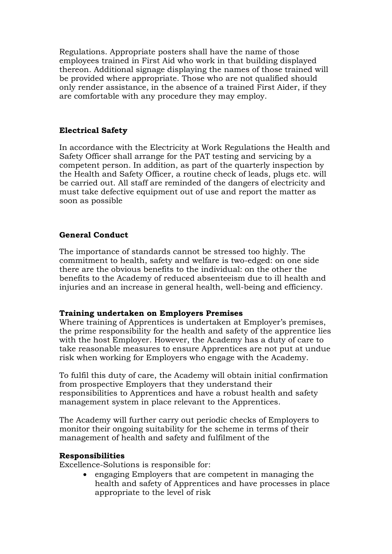Regulations. Appropriate posters shall have the name of those employees trained in First Aid who work in that building displayed thereon. Additional signage displaying the names of those trained will be provided where appropriate. Those who are not qualified should only render assistance, in the absence of a trained First Aider, if they are comfortable with any procedure they may employ.

### **Electrical Safety**

In accordance with the Electricity at Work Regulations the Health and Safety Officer shall arrange for the PAT testing and servicing by a competent person. In addition, as part of the quarterly inspection by the Health and Safety Officer, a routine check of leads, plugs etc. will be carried out. All staff are reminded of the dangers of electricity and must take defective equipment out of use and report the matter as soon as possible

## **General Conduct**

The importance of standards cannot be stressed too highly. The commitment to health, safety and welfare is two-edged: on one side there are the obvious benefits to the individual: on the other the benefits to the Academy of reduced absenteeism due to ill health and injuries and an increase in general health, well-being and efficiency.

#### **Training undertaken on Employers Premises**

Where training of Apprentices is undertaken at Employer's premises, the prime responsibility for the health and safety of the apprentice lies with the host Employer. However, the Academy has a duty of care to take reasonable measures to ensure Apprentices are not put at undue risk when working for Employers who engage with the Academy.

To fulfil this duty of care, the Academy will obtain initial confirmation from prospective Employers that they understand their responsibilities to Apprentices and have a robust health and safety management system in place relevant to the Apprentices.

The Academy will further carry out periodic checks of Employers to monitor their ongoing suitability for the scheme in terms of their management of health and safety and fulfilment of the

#### **Responsibilities**

Excellence-Solutions is responsible for:

• engaging Employers that are competent in managing the health and safety of Apprentices and have processes in place appropriate to the level of risk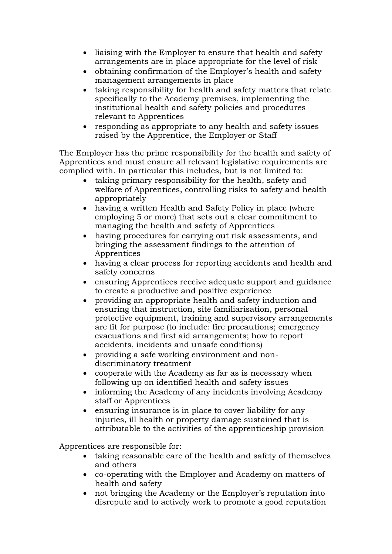- liaising with the Employer to ensure that health and safety arrangements are in place appropriate for the level of risk
- obtaining confirmation of the Employer's health and safety management arrangements in place
- taking responsibility for health and safety matters that relate specifically to the Academy premises, implementing the institutional health and safety policies and procedures relevant to Apprentices
- responding as appropriate to any health and safety issues raised by the Apprentice, the Employer or Staff

The Employer has the prime responsibility for the health and safety of Apprentices and must ensure all relevant legislative requirements are complied with. In particular this includes, but is not limited to:

- taking primary responsibility for the health, safety and welfare of Apprentices, controlling risks to safety and health appropriately
- having a written Health and Safety Policy in place (where employing 5 or more) that sets out a clear commitment to managing the health and safety of Apprentices
- having procedures for carrying out risk assessments, and bringing the assessment findings to the attention of Apprentices
- having a clear process for reporting accidents and health and safety concerns
- ensuring Apprentices receive adequate support and guidance to create a productive and positive experience
- providing an appropriate health and safety induction and ensuring that instruction, site familiarisation, personal protective equipment, training and supervisory arrangements are fit for purpose (to include: fire precautions; emergency evacuations and first aid arrangements; how to report accidents, incidents and unsafe conditions)
- providing a safe working environment and nondiscriminatory treatment
- cooperate with the Academy as far as is necessary when following up on identified health and safety issues
- informing the Academy of any incidents involving Academy staff or Apprentices
- ensuring insurance is in place to cover liability for any injuries, ill health or property damage sustained that is attributable to the activities of the apprenticeship provision

Apprentices are responsible for:

- taking reasonable care of the health and safety of themselves and others
- co-operating with the Employer and Academy on matters of health and safety
- not bringing the Academy or the Employer's reputation into disrepute and to actively work to promote a good reputation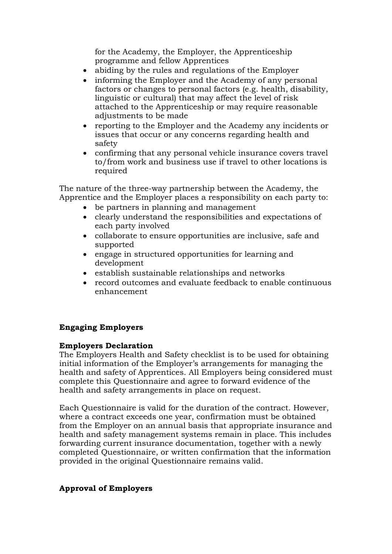for the Academy, the Employer, the Apprenticeship programme and fellow Apprentices

- abiding by the rules and regulations of the Employer
- informing the Employer and the Academy of any personal factors or changes to personal factors (e.g. health, disability, linguistic or cultural) that may affect the level of risk attached to the Apprenticeship or may require reasonable adjustments to be made
- reporting to the Employer and the Academy any incidents or issues that occur or any concerns regarding health and safety
- confirming that any personal vehicle insurance covers travel to/from work and business use if travel to other locations is required

The nature of the three-way partnership between the Academy, the Apprentice and the Employer places a responsibility on each party to:

- be partners in planning and management
- clearly understand the responsibilities and expectations of each party involved
- collaborate to ensure opportunities are inclusive, safe and supported
- engage in structured opportunities for learning and development
- establish sustainable relationships and networks
- record outcomes and evaluate feedback to enable continuous enhancement

## **Engaging Employers**

#### **Employers Declaration**

The Employers Health and Safety checklist is to be used for obtaining initial information of the Employer's arrangements for managing the health and safety of Apprentices. All Employers being considered must complete this Questionnaire and agree to forward evidence of the health and safety arrangements in place on request.

Each Questionnaire is valid for the duration of the contract. However, where a contract exceeds one year, confirmation must be obtained from the Employer on an annual basis that appropriate insurance and health and safety management systems remain in place. This includes forwarding current insurance documentation, together with a newly completed Questionnaire, or written confirmation that the information provided in the original Questionnaire remains valid.

## **Approval of Employers**